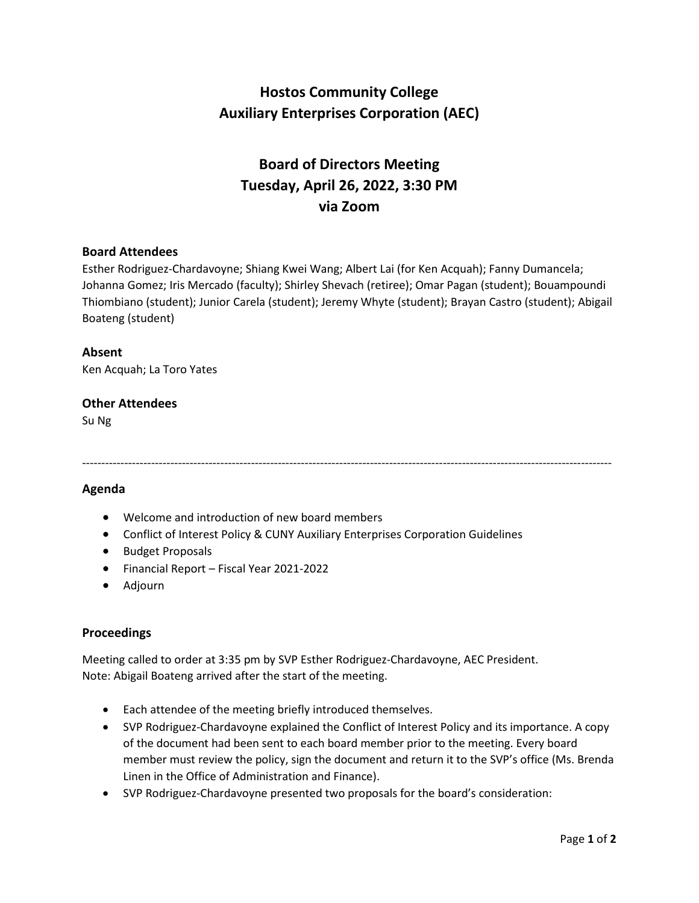# **Hostos Community College Auxiliary Enterprises Corporation (AEC)**

# **Board of Directors Meeting Tuesday, April 26, 2022, 3:30 PM via Zoom**

### **Board Attendees**

Esther Rodriguez-Chardavoyne; Shiang Kwei Wang; Albert Lai (for Ken Acquah); Fanny Dumancela; Johanna Gomez; Iris Mercado (faculty); Shirley Shevach (retiree); Omar Pagan (student); Bouampoundi Thiombiano (student); Junior Carela (student); Jeremy Whyte (student); Brayan Castro (student); Abigail Boateng (student)

------------------------------------------------------------------------------------------------------------------------------------------

### **Absent**

Ken Acquah; La Toro Yates

### **Other Attendees**

Su Ng

### **Agenda**

- Welcome and introduction of new board members
- Conflict of Interest Policy & CUNY Auxiliary Enterprises Corporation Guidelines
- Budget Proposals
- Financial Report Fiscal Year 2021-2022
- Adjourn

#### **Proceedings**

Meeting called to order at 3:35 pm by SVP Esther Rodriguez-Chardavoyne, AEC President. Note: Abigail Boateng arrived after the start of the meeting.

- Each attendee of the meeting briefly introduced themselves.
- SVP Rodriguez-Chardavoyne explained the Conflict of Interest Policy and its importance. A copy of the document had been sent to each board member prior to the meeting. Every board member must review the policy, sign the document and return it to the SVP's office (Ms. Brenda Linen in the Office of Administration and Finance).
- SVP Rodriguez-Chardavoyne presented two proposals for the board's consideration: